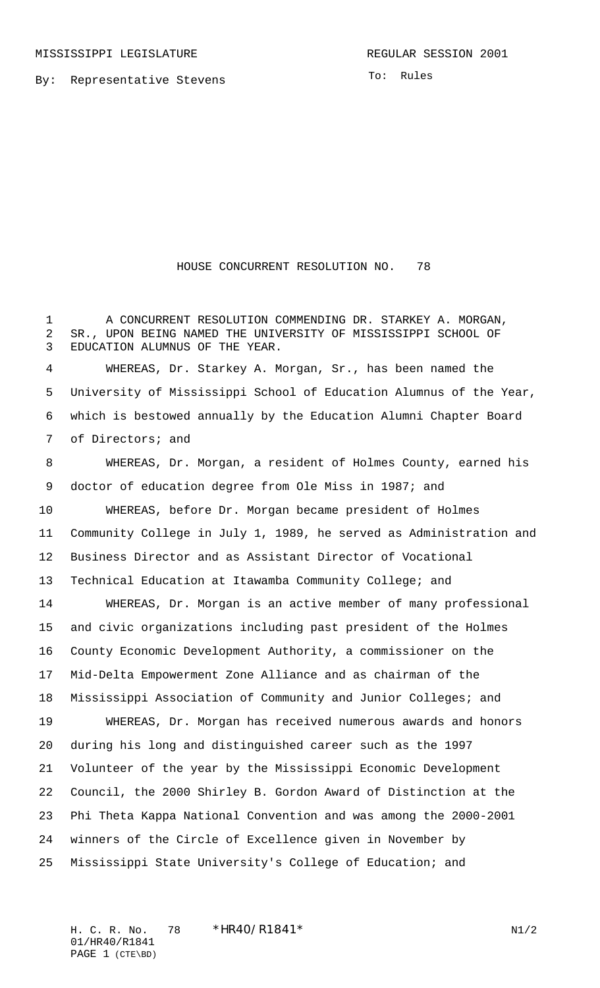By: Representative Stevens

To: Rules

## HOUSE CONCURRENT RESOLUTION NO. 78

 A CONCURRENT RESOLUTION COMMENDING DR. STARKEY A. MORGAN, SR., UPON BEING NAMED THE UNIVERSITY OF MISSISSIPPI SCHOOL OF EDUCATION ALUMNUS OF THE YEAR.

 WHEREAS, Dr. Starkey A. Morgan, Sr., has been named the University of Mississippi School of Education Alumnus of the Year, which is bestowed annually by the Education Alumni Chapter Board of Directors; and

 WHEREAS, Dr. Morgan, a resident of Holmes County, earned his doctor of education degree from Ole Miss in 1987; and WHEREAS, before Dr. Morgan became president of Holmes Community College in July 1, 1989, he served as Administration and Business Director and as Assistant Director of Vocational Technical Education at Itawamba Community College; and WHEREAS, Dr. Morgan is an active member of many professional and civic organizations including past president of the Holmes County Economic Development Authority, a commissioner on the Mid-Delta Empowerment Zone Alliance and as chairman of the Mississippi Association of Community and Junior Colleges; and WHEREAS, Dr. Morgan has received numerous awards and honors during his long and distinguished career such as the 1997 Volunteer of the year by the Mississippi Economic Development Council, the 2000 Shirley B. Gordon Award of Distinction at the Phi Theta Kappa National Convention and was among the 2000-2001 winners of the Circle of Excellence given in November by Mississippi State University's College of Education; and

H. C. R. No. 78 \* HR40/R1841\* N1/2 01/HR40/R1841 PAGE 1 (CTE\BD)